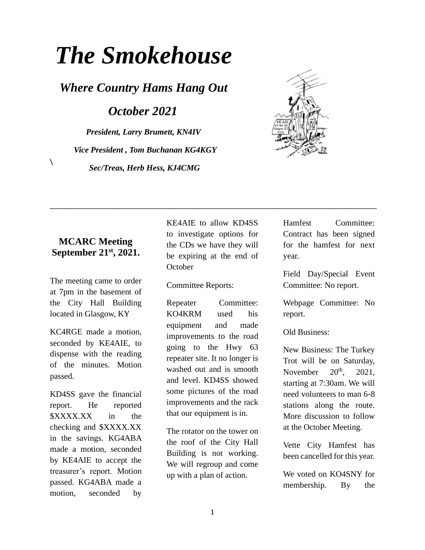# *The Smokehouse*

*Where Country Hams Hang Out*

*October 2021*

*President, Larry Brumett, KN4IV Vice President , Tom Buchanan KG4KGY Sec/Treas, Herb Hess, KJ4CMG*



#### **MCARC Meeting September 21st, 2021.**

 $\setminus$ 

The meeting came to order at 7pm in the basement of the City Hall Building located in Glasgow, KY

KC4RGE made a motion, seconded by KE4AIE, to dispense with the reading of the minutes. Motion passed.

KD4SS gave the financial report. He reported \$XXXX.XX in the checking and \$XXXX.XX in the savings. KG4ABA made a motion, seconded by KE4AIE to accept the treasurer's report. Motion passed. KG4ABA made a motion, seconded by

KE4AIE to allow KD4SS to investigate options for the CDs we have they will be expiring at the end of **October** 

\_\_\_\_\_\_\_\_\_\_\_\_\_\_\_\_\_\_\_\_\_\_\_\_\_\_\_\_\_\_\_\_\_\_\_\_\_\_\_\_\_\_\_\_\_\_\_\_\_\_\_\_\_\_\_\_\_\_\_\_\_\_\_\_\_\_\_\_\_\_\_\_\_\_\_\_\_\_\_\_\_\_\_\_\_\_

Committee Reports:

Repeater Committee: KO4KRM used his equipment and made improvements to the road going to the Hwy 63 repeater site. It no longer is washed out and is smooth and level. KD4SS showed some pictures of the road improvements and the rack that our equipment is in.

The rotator on the tower on the roof of the City Hall Building is not working. We will regroup and come up with a plan of action.

Hamfest Committee: Contract has been signed for the hamfest for next year.

Field Day/Special Event Committee: No report.

Webpage Committee: No report.

Old Business:

New Business: The Turkey Trot will be on Saturday, November  $20<sup>th</sup>$ ,  $2021$ , starting at 7:30am. We will need volunteers to man 6-8 stations along the route. More discussion to follow at the October Meeting.

Vette City Hamfest has been cancelled for this year.

We voted on KO4SNY for membership. By the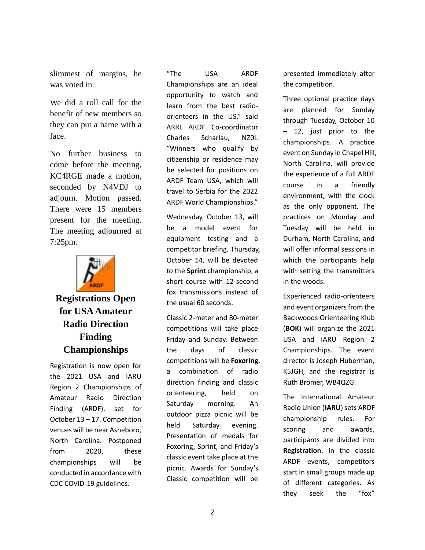slimmest of margins, he was voted in.

We did a roll call for the benefit of new members so they can put a name with a face.

No further business to come before the meeting, KC4RGE made a motion, seconded by N4VDJ to adjourn. Motion passed. There were 15 members present for the meeting. The meeting adjourned at 7:25pm.



## **Registrations Open for USA Amateur Radio Direction Finding Championships**

Registration is now open for the 2021 USA and IARU Region 2 Championships of Amateur Radio Direction Finding (ARDF), set for October 13 – 17. Competition venues will be near Asheboro, North Carolina. Postponed from 2020, these championships will be conducted in accordance with CDC COVID-19 guidelines.

"The USA ARDF Championships are an ideal opportunity to watch and learn from the best radioorienteers in the US," said ARRL ARDF Co-coordinator Charles Scharlau, NZ0I. "Winners who qualify by citizenship or residence may be selected for positions on ARDF Team USA, which will travel to Serbia for the 2022 ARDF World Championships."

Wednesday, October 13, will be a model event for equipment testing and a competitor briefing. Thursday, October 14, will be devoted to the **[Sprint](http://www.homingin.com/sprints.html)** championship, a short course with 12-second fox transmissions instead of the usual 60 seconds.

Classic 2-meter and 80-meter competitions will take place Friday and Sunday. Between the days of classic competitions will be **[Foxoring](http://www.homingin.com/sprints.html#foxoring)**, a combination of radio direction finding and classic orienteering, held on Saturday morning. An outdoor pizza picnic will be held Saturday evening. Presentation of medals for Foxoring, Sprint, and Friday's classic event take place at the picnic. Awards for Sunday's Classic competition will be

presented immediately after the competition.

Three optional practice days are planned for Sunday through Tuesday, October 10 – 12, just prior to the championships. A practice event on Sunday in Chapel Hill, North Carolina, will provide the experience of a full ARDF course in a friendly environment, with the clock as the only opponent. The practices on Monday and Tuesday will be held in Durham, North Carolina, and will offer informal sessions in which the participants help with setting the transmitters in the woods.

Experienced radio-orienteers and event organizers from the Backwoods Orienteering Klub (**[BOK](https://backwoodsok.org/)**) will organize the 2021 USA and IARU Region 2 Championships. The event director is Joseph Huberman, K5JGH, and the registrar is Ruth Bromer, WB4QZG.

The International Amateur Radio Union (**[IARU](http://www.iaru.org/)**) set[s ARDF](http://www.homingin.com/intlfox.html#rules)  [championship rules.](http://www.homingin.com/intlfox.html#rules) For scoring and awards, participants are divided into **[Registration](https://eventreg.orienteeringusa.org/eventregister/a40/register/start/ardf2021)**. In the classic ARDF events, competitors start in small groups made up of different categories. As they seek the "fox"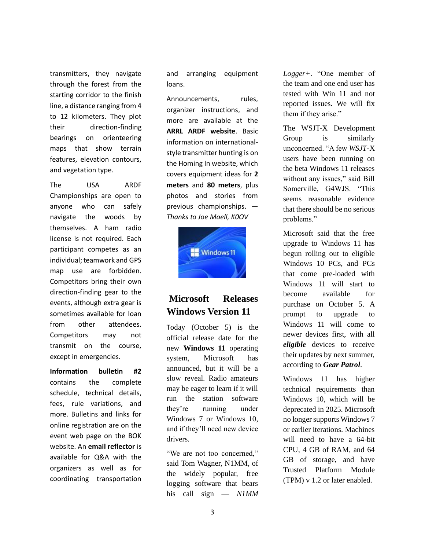transmitters, they navigate through the forest from the starting corridor to the finish line, a distance ranging from 4 to 12 kilometers. They plot their direction-finding bearings on orienteering maps that show terrain features, elevation contours, and vegetation type.

The USA ARDF Championships are open to anyone who can safely navigate the woods by themselves. A ham radio license is not required. Each participant competes as an individual; teamwork and GPS map use are forbidden. Competitors bring their own direction-finding gear to the events, although extra gear is sometimes available for loan from other attendees. Competitors may not transmit on the course, except in emergencies.

**Information bulletin #2** contains the complete schedule, technical details, fees, rule variations, and more. Bulletins and links for online registration are on the [event web page](https://backwoodsok.org/us-2021-ardf-champs-bulletin-one) on the BOK website. An **[email reflector](https://groups.google.com/g/ardf-usa)** is available for Q&A with the organizers as well as for coordinating transportation

and arranging equipment loans.

Announcements, rules, organizer instructions, and more are available at the **[ARRL ARDF website](http://www.arrl.org/amateur-radio-direction-finding)**. Basic information on internationalstyle transmitter hunting is on the [Homing In](http://www.homingin.com/) website, which covers equipment ideas for **[2](http://www.homingin.com/equipment.html)  [meters](http://www.homingin.com/equipment.html)** and **[80 meters](http://www.homingin.com/joemoell/80intro.html)**, plus photos and stories from previous championships. — *Thanks to Joe Moell, K0OV*



#### **Microsoft Releases Windows Version 11**

Today (October 5) is the official release date for the new **[Windows 11](https://www.microsoft.com/en-us/windows/windows-11)** operating system, Microsoft has announced, but it will be a slow reveal. Radio amateurs may be eager to learn if it will run the station software they're running under Windows 7 or Windows 10, and if they'll need new device drivers.

"We are not too concerned," said Tom Wagner, N1MM, of the widely popular, free logging software that bears his call sign — *N1MM* 

*Logger+*. "One member of the team and one end user has tested with Win 11 and not reported issues. We will fix them if they arise."

The WSJT-X Development Group is similarly unconcerned. "A few *WSJT*-X users have been running on the beta Windows 11 releases without any issues," said Bill Somerville, G4WJS. "This seems reasonable evidence that there should be no serious problems."

Microsoft said that the free upgrade to Windows 11 has begun rolling out to eligible Windows 10 PCs, and PCs that come pre-loaded with Windows 11 will start to become available for purchase on October 5. A prompt to upgrade to Windows 11 will come to newer devices first, with all *[eligible](https://www.microsoft.com/en-us/windows/windows-11-specifications)* devices to receive their updates by next summer, according to *[Gear Patrol](https://www.gearpatrol.com/tech/a36902344/windows-11-release-date-features/)*.

Windows 11 has higher technical requirements than Windows 10, which will be deprecated in 2025. Microsoft no longer supports Windows 7 or earlier iterations. Machines will need to have a 64-bit CPU, 4 GB of RAM, and 64 GB of storage, and have Trusted Platform Module (TPM) v 1.2 or later enabled.